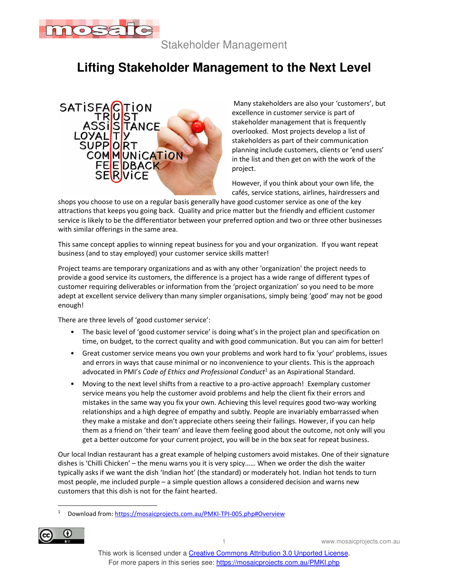

Stakeholder Management

## **Lifting Stakeholder Management to the Next Level**



 Many stakeholders are also your 'customers', but excellence in customer service is part of stakeholder management that is frequently overlooked. Most projects develop a list of stakeholders as part of their communication planning include customers, clients or 'end users' in the list and then get on with the work of the project.

However, if you think about your own life, the cafés, service stations, airlines, hairdressers and

shops you choose to use on a regular basis generally have good customer service as one of the key attractions that keeps you going back. Quality and price matter but the friendly and efficient customer service is likely to be the differentiator between your preferred option and two or three other businesses with similar offerings in the same area.

This same concept applies to winning repeat business for you and your organization. If you want repeat business (and to stay employed) your customer service skills matter!

Project teams are temporary organizations and as with any other 'organization' the project needs to provide a good service its customers, the difference is a project has a wide range of different types of customer requiring deliverables or information from the 'project organization' so you need to be more adept at excellent service delivery than many simpler organisations, simply being 'good' may not be good enough!

There are three levels of 'good customer service':

- The basic level of 'good customer service' is doing what's in the project plan and specification on time, on budget, to the correct quality and with good communication. But you can aim for better!
- Great customer service means you own your problems and work hard to fix 'your' problems, issues and errors in ways that cause minimal or no inconvenience to your clients. This is the approach advocated in PMI's *Code of Ethics and Professional Conduct*<sup>1</sup> as an Aspirational Standard.
- Moving to the next level shifts from a reactive to a pro-active approach! Exemplary customer service means you help the customer avoid problems and help the client fix their errors and mistakes in the same way you fix your own. Achieving this level requires good two-way working relationships and a high degree of empathy and subtly. People are invariably embarrassed when they make a mistake and don't appreciate others seeing their failings. However, if you can help them as a friend on 'their team' and leave them feeling good about the outcome, not only will you get a better outcome for your current project, you will be in the box seat for repeat business.

Our local Indian restaurant has a great example of helping customers avoid mistakes. One of their signature dishes is 'Chilli Chicken' – the menu warns you it is very spicy…… When we order the dish the waiter typically asks if we want the dish 'Indian hot' (the standard) or moderately hot. Indian hot tends to turn most people, me included purple – a simple question allows a considered decision and warns new customers that this dish is not for the faint hearted.

<sup>1</sup> Download from: https://mosaicprojects.com.au/PMKI-TPI-005.php#Overview